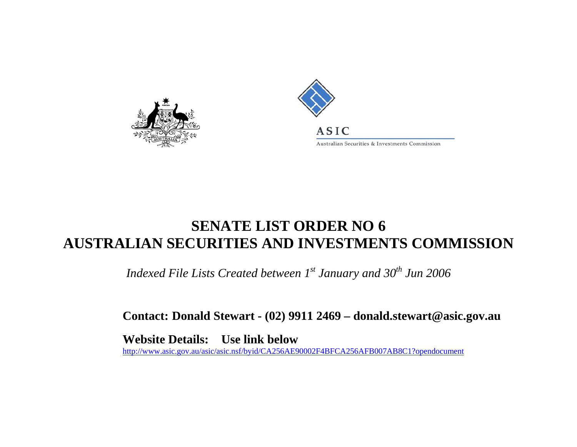



## **SENATE LIST ORDER NO 6 AUSTRALIAN SECURITIES AND INVESTMENTS COMMISSION**

*Indexed File Lists Created between 1st January and 30<sup>th</sup> Jun 2006* 

**Contact: Donald Stewart - (02) 9911 2469 – donald.stewart@asic.gov.au** 

**Website Details: Use link below**  http://www.asic.gov.au/asic/asic.nsf/byid/CA256AE90002F4BFCA256AFB007AB8C1?opendocument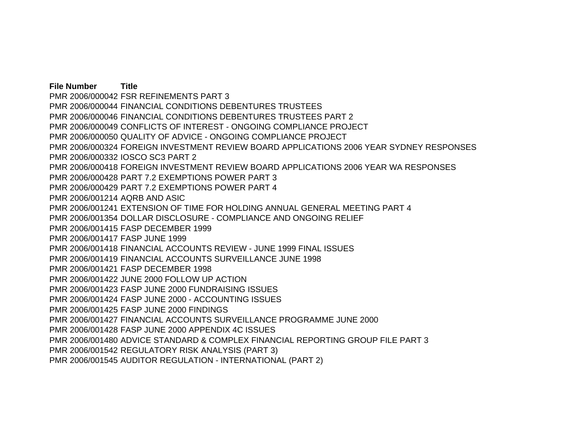**File Number Title** PMR 2006/000042 FSR REFINEMENTS PART 3 PMR 2006/000044 FINANCIAL CONDITIONS DEBENTURES TRUSTEES PMR 2006/000046 FINANCIAL CONDITIONS DEBENTURES TRUSTEES PART 2 PMR 2006/000049 CONFLICTS OF INTEREST - ONGOING COMPLIANCE PROJECT PMR 2006/000050 QUALITY OF ADVICE - ONGOING COMPLIANCE PROJECT PMR 2006/000324 FOREIGN INVESTMENT REVIEW BOARD APPLICATIONS 2006 YEAR SYDNEY RESPONSES PMR 2006/000332 IOSCO SC3 PART 2 PMR 2006/000418 FOREIGN INVESTMENT REVIEW BOARD APPLICATIONS 2006 YEAR WA RESPONSES PMR 2006/000428 PART 7.2 EXEMPTIONS POWER PART 3 PMR 2006/000429 PART 7.2 EXEMPTIONS POWER PART 4 PMR 2006/001214 AQRB AND ASIC PMR 2006/001241 EXTENSION OF TIME FOR HOLDING ANNUAL GENERAL MEETING PART 4 PMR 2006/001354 DOLLAR DISCLOSURE - COMPLIANCE AND ONGOING RELIEF PMR 2006/001415 FASP DECEMBER 1999 PMR 2006/001417 FASP JUNE 1999 PMR 2006/001418 FINANCIAL ACCOUNTS REVIEW - JUNE 1999 FINAL ISSUES PMR 2006/001419 FINANCIAL ACCOUNTS SURVEILLANCE JUNE 1998 PMR 2006/001421 FASP DECEMBER 1998 PMR 2006/001422 JUNE 2000 FOLLOW UP ACTION PMR 2006/001423 FASP JUNE 2000 FUNDRAISING ISSUES PMR 2006/001424 FASP JUNE 2000 - ACCOUNTING ISSUES PMR 2006/001425 FASP JUNE 2000 FINDINGS PMR 2006/001427 FINANCIAL ACCOUNTS SURVEILLANCE PROGRAMME JUNE 2000 PMR 2006/001428 FASP JUNE 2000 APPENDIX 4C ISSUES PMR 2006/001480 ADVICE STANDARD & COMPLEX FINANCIAL REPORTING GROUP FILE PART 3 PMR 2006/001542 REGULATORY RISK ANALYSIS (PART 3) PMR 2006/001545 AUDITOR REGULATION - INTERNATIONAL (PART 2)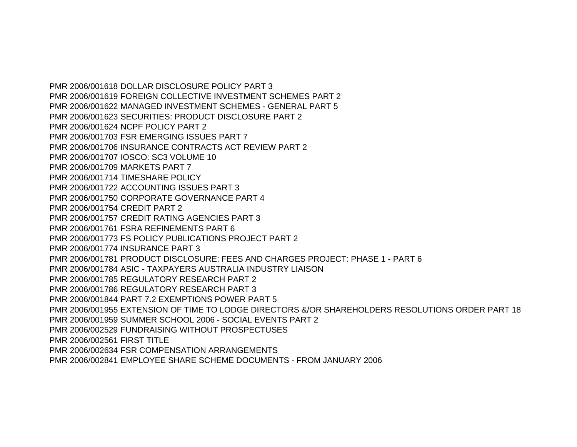PMR 2006/001618 DOLLAR DISCLOSURE POLICY PART 3 PMR 2006/001619 FOREIGN COLLECTIVE INVESTMENT SCHEMES PART 2 PMR 2006/001622 MANAGED INVESTMENT SCHEMES - GENERAL PART 5 PMR 2006/001623 SECURITIES: PRODUCT DISCLOSURE PART 2 PMR 2006/001624 NCPF POLICY PART 2 PMR 2006/001703 FSR EMERGING ISSUES PART 7 PMR 2006/001706 INSURANCE CONTRACTS ACT REVIEW PART 2 PMR 2006/001707 IOSCO: SC3 VOLUME 10 PMR 2006/001709 MARKETS PART 7 PMR 2006/001714 TIMESHARE POLICY PMR 2006/001722 ACCOUNTING ISSUES PART 3 PMR 2006/001750 CORPORATE GOVERNANCE PART 4 PMR 2006/001754 CREDIT PART 2 PMR 2006/001757 CREDIT RATING AGENCIES PART 3 PMR 2006/001761 FSRA REFINEMENTS PART 6 PMR 2006/001773 FS POLICY PUBLICATIONS PROJECT PART 2 PMR 2006/001774 INSURANCE PART 3 PMR 2006/001781 PRODUCT DISCLOSURE: FEES AND CHARGES PROJECT: PHASE 1 - PART 6 PMR 2006/001784 ASIC - TAXPAYERS AUSTRALIA INDUSTRY LIAISON PMR 2006/001785 REGULATORY RESEARCH PART 2 PMR 2006/001786 REGULATORY RESEARCH PART 3 PMR 2006/001844 PART 7.2 EXEMPTIONS POWER PART 5 PMR 2006/001955 EXTENSION OF TIME TO LODGE DIRECTORS &/OR SHAREHOLDERS RESOLUTIONS ORDER PART 18 PMR 2006/001959 SUMMER SCHOOL 2006 - SOCIAL EVENTS PART 2 PMR 2006/002529 FUNDRAISING WITHOUT PROSPECTUSES PMR 2006/002561 FIRST TITLE PMR 2006/002634 FSR COMPENSATION ARRANGEMENTS PMR 2006/002841 EMPLOYEE SHARE SCHEME DOCUMENTS - FROM JANUARY 2006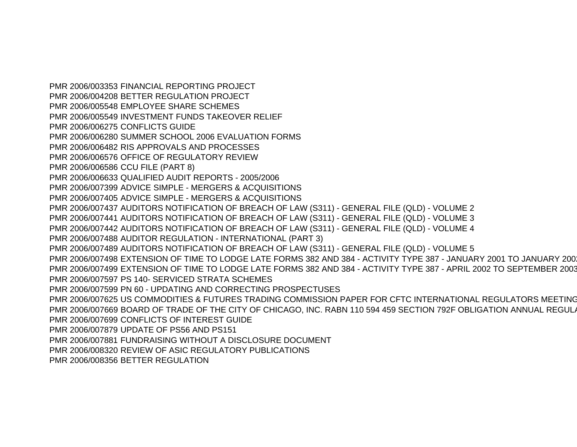PMR 2006/003353 FINANCIAL REPORTING PROJECT PMR 2006/004208 BETTER REGULATION PROJECT PMR 2006/005548 EMPLOYEE SHARE SCHEMES PMR 2006/005549 INVESTMENT FUNDS TAKEOVER RELIEF PMR 2006/006275 CONFLICTS GUIDE PMR 2006/006280 SUMMER SCHOOL 2006 EVALUATION FORMS PMR 2006/006482 RIS APPROVALS AND PROCESSES PMR 2006/006576 OFFICE OF REGULATORY REVIEW PMR 2006/006586 CCU FILE (PART 8) PMR 2006/006633 QUALIFIED AUDIT REPORTS - 2005/2006 PMR 2006/007399 ADVICE SIMPLE - MERGERS & ACQUISITIONS PMR 2006/007405 ADVICE SIMPLE - MERGERS & ACQUISITIONS PMR 2006/007437 AUDITORS NOTIFICATION OF BREACH OF LAW (S311) - GENERAL FILE (QLD) - VOLUME 2 PMR 2006/007441 AUDITORS NOTIFICATION OF BREACH OF LAW (S311) - GENERAL FILE (QLD) - VOLUME 3 PMR 2006/007442 AUDITORS NOTIFICATION OF BREACH OF LAW (S311) - GENERAL FILE (QLD) - VOLUME 4 PMR 2006/007488 AUDITOR REGULATION - INTERNATIONAL (PART 3) PMR 2006/007489 AUDITORS NOTIFICATION OF BREACH OF LAW (S311) - GENERAL FILE (QLD) - VOLUME 5 PMR 2006/007498 EXTENSION OF TIME TO LODGE LATE FORMS 382 AND 384 - ACTIVITY TYPE 387 - JANUARY 2001 TO JANUARY 2002PMR 2006/007499 EXTENSION OF TIME TO LODGE LATE FORMS 382 AND 384 - ACTIVITY TYPE 387 - APRIL 2002 TO SEPTEMBER 2003PMR 2006/007597 PS 140- SERVICED STRATA SCHEMES PMR 2006/007599 PN 60 - UPDATING AND CORRECTING PROSPECTUSES PMR 2006/007625 US COMMODITIES & FUTURES TRADING COMMISSION PAPER FOR CFTC INTERNATIONAL REGULATORS MEETINGPMR 2006/007669 BOARD OF TRADE OF THE CITY OF CHICAGO, INC. RABN 110 594 459 SECTION 792F OBLIGATION ANNUAL REGUL A PMR 2006/007699 CONFLICTS OF INTEREST GUIDE PMR 2006/007879 UPDATE OF PS56 AND PS151 PMR 2006/007881 FUNDRAISING WITHOUT A DISCLOSURE DOCUMENT PMR 2006/008320 REVIEW OF ASIC REGULATORY PUBLICATIONS PMR 2006/008356 BETTER REGULATION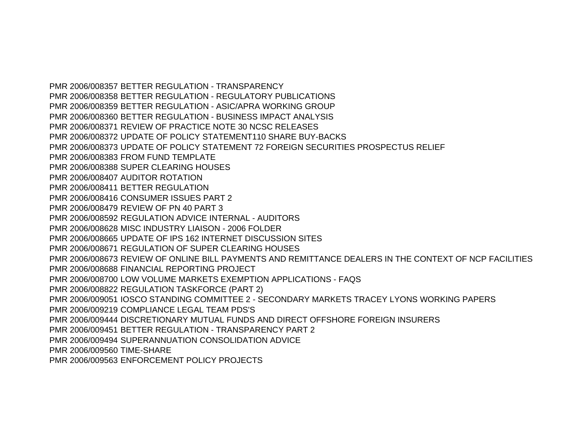PMR 2006/008357 BETTER REGULATION - TRANSPARENCY PMR 2006/008358 BETTER REGULATION - REGULATORY PUBLICATIONS PMR 2006/008359 BETTER REGULATION - ASIC/APRA WORKING GROUP PMR 2006/008360 BETTER REGULATION - BUSINESS IMPACT ANALYSIS PMR 2006/008371 REVIEW OF PRACTICE NOTE 30 NCSC RELEASES PMR 2006/008372 UPDATE OF POLICY STATEMENT110 SHARE BUY-BACKS PMR 2006/008373 UPDATE OF POLICY STATEMENT 72 FOREIGN SECURITIES PROSPECTUS RELIEF PMR 2006/008383 FROM FUND TEMPLATE PMR 2006/008388 SUPER CLEARING HOUSES PMR 2006/008407 AUDITOR ROTATION PMR 2006/008411 BETTER REGULATION PMR 2006/008416 CONSUMER ISSUES PART 2 PMR 2006/008479 REVIEW OF PN 40 PART 3 PMR 2006/008592 REGULATION ADVICE INTERNAL - AUDITORS PMR 2006/008628 MISC INDUSTRY LIAISON - 2006 FOLDER PMR 2006/008665 UPDATE OF IPS 162 INTERNET DISCUSSION SITES PMR 2006/008671 REGULATION OF SUPER CLEARING HOUSES PMR 2006/008673 REVIEW OF ONLINE BILL PAYMENTS AND REMITTANCE DEALERS IN THE CONTEXT OF NCP FACILITIES PMR 2006/008688 FINANCIAL REPORTING PROJECT PMR 2006/008700 LOW VOLUME MARKETS EXEMPTION APPLICATIONS - FAQS PMR 2006/008822 REGULATION TASKFORCE (PART 2) PMR 2006/009051 IOSCO STANDING COMMITTEE 2 - SECONDARY MARKETS TRACEY LYONS WORKING PAPERS PMR 2006/009219 COMPLIANCE LEGAL TEAM PDS'S PMR 2006/009444 DISCRETIONARY MUTUAL FUNDS AND DIRECT OFFSHORE FOREIGN INSURERS PMR 2006/009451 BETTER REGULATION - TRANSPARENCY PART 2 PMR 2006/009494 SUPERANNUATION CONSOLIDATION ADVICE PMR 2006/009560 TIME-SHARE PMR 2006/009563 ENFORCEMENT POLICY PROJECTS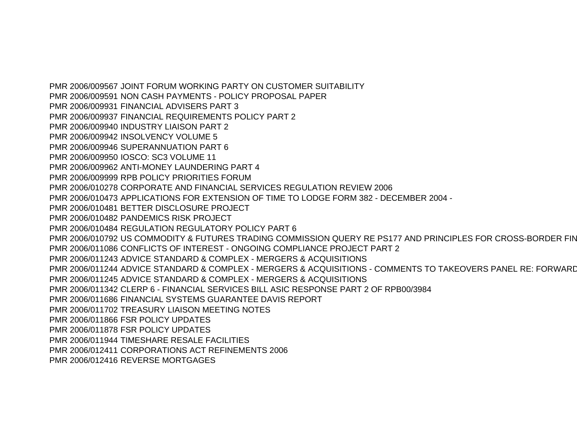PMR 2006/009567 JOINT FORUM WORKING PARTY ON CUSTOMER SUITABILITY PMR 2006/009591 NON CASH PAYMENTS - POLICY PROPOSAL PAPER PMR 2006/009931 FINANCIAL ADVISERS PART 3 PMR 2006/009937 FINANCIAL REQUIREMENTS POLICY PART 2 PMR 2006/009940 INDUSTRY LIAISON PART 2 PMR 2006/009942 INSOLVENCY VOLUME 5 PMR 2006/009946 SUPERANNUATION PART 6 PMR 2006/009950 IOSCO: SC3 VOLUME 11 PMR 2006/009962 ANTI-MONEY LAUNDERING PART 4 PMR 2006/009999 RPB POLICY PRIORITIES FORUM PMR 2006/010278 CORPORATE AND FINANCIAL SERVICES REGULATION REVIEW 2006 PMR 2006/010473 APPLICATIONS FOR EXTENSION OF TIME TO LODGE FORM 382 - DECEMBER 2004 - PMR 2006/010481 BETTER DISCLOSURE PROJECT PMR 2006/010482 PANDEMICS RISK PROJECT PMR 2006/010484 REGULATION REGULATORY POLICY PART 6 PMR 2006/010792 US COMMODITY & FUTURES TRADING COMMISSION QUERY RE PS177 AND PRINCIPLES FOR CROSS-BORDER FINPMR 2006/011086 CONFLICTS OF INTEREST - ONGOING COMPLIANCE PROJECT PART 2 PMR 2006/011243 ADVICE STANDARD & COMPLEX - MERGERS & ACQUISITIONS PMR 2006/011244 ADVICE STANDARD & COMPLEX - MERGERS & ACQUISITIONS - COMMENTS TO TAKEOVERS PANEL RE: FORWARDPMR 2006/011245 ADVICE STANDARD & COMPLEX - MERGERS & ACQUISITIONS PMR 2006/011342 CLERP 6 - FINANCIAL SERVICES BILL ASIC RESPONSE PART 2 OF RPB00/3984 PMR 2006/011686 FINANCIAL SYSTEMS GUARANTEE DAVIS REPORT PMR 2006/011702 TREASURY LIAISON MEETING NOTES PMR 2006/011866 FSR POLICY UPDATES PMR 2006/011878 FSR POLICY UPDATES PMR 2006/011944 TIMESHARE RESALE FACILITIES PMR 2006/012411 CORPORATIONS ACT REFINEMENTS 2006 PMR 2006/012416 REVERSE MORTGAGES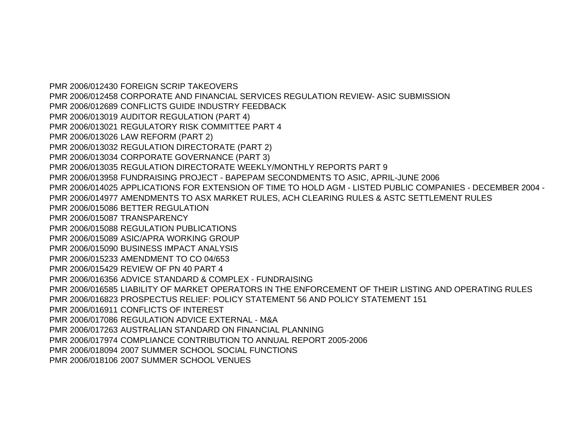PMR 2006/012430 FOREIGN SCRIP TAKEOVERS PMR 2006/012458 CORPORATE AND FINANCIAL SERVICES REGULATION REVIEW- ASIC SUBMISSION PMR 2006/012689 CONFLICTS GUIDE INDUSTRY FEEDBACK PMR 2006/013019 AUDITOR REGULATION (PART 4) PMR 2006/013021 REGULATORY RISK COMMITTEE PART 4 PMR 2006/013026 LAW REFORM (PART 2) PMR 2006/013032 REGULATION DIRECTORATE (PART 2) PMR 2006/013034 CORPORATE GOVERNANCE (PART 3) PMR 2006/013035 REGULATION DIRECTORATE WEEKLY/MONTHLY REPORTS PART 9 PMR 2006/013958 FUNDRAISING PROJECT - BAPEPAM SECONDMENTS TO ASIC, APRIL-JUNE 2006 PMR 2006/014025 APPLICATIONS FOR EXTENSION OF TIME TO HOLD AGM - LISTED PUBLIC COMPANIES - DECEMBER 2004 - PMR 2006/014977 AMENDMENTS TO ASX MARKET RULES, ACH CLEARING RULES & ASTC SETTLEMENT RULES PMR 2006/015086 BETTER REGULATION PMR 2006/015087 TRANSPARENCY PMR 2006/015088 REGULATION PUBLICATIONS PMR 2006/015089 ASIC/APRA WORKING GROUP PMR 2006/015090 BUSINESS IMPACT ANALYSIS PMR 2006/015233 AMENDMENT TO CO 04/653 PMR 2006/015429 REVIEW OF PN 40 PART 4 PMR 2006/016356 ADVICE STANDARD & COMPLEX - FUNDRAISING PMR 2006/016585 LIABILITY OF MARKET OPERATORS IN THE ENFORCEMENT OF THEIR LISTING AND OPERATING RULES PMR 2006/016823 PROSPECTUS RELIEF: POLICY STATEMENT 56 AND POLICY STATEMENT 151 PMR 2006/016911 CONFLICTS OF INTEREST PMR 2006/017086 REGULATION ADVICE EXTERNAL - M&A PMR 2006/017263 AUSTRALIAN STANDARD ON FINANCIAL PLANNING PMR 2006/017974 COMPLIANCE CONTRIBUTION TO ANNUAL REPORT 2005-2006 PMR 2006/018094 2007 SUMMER SCHOOL SOCIAL FUNCTIONS PMR 2006/018106 2007 SUMMER SCHOOL VENUES